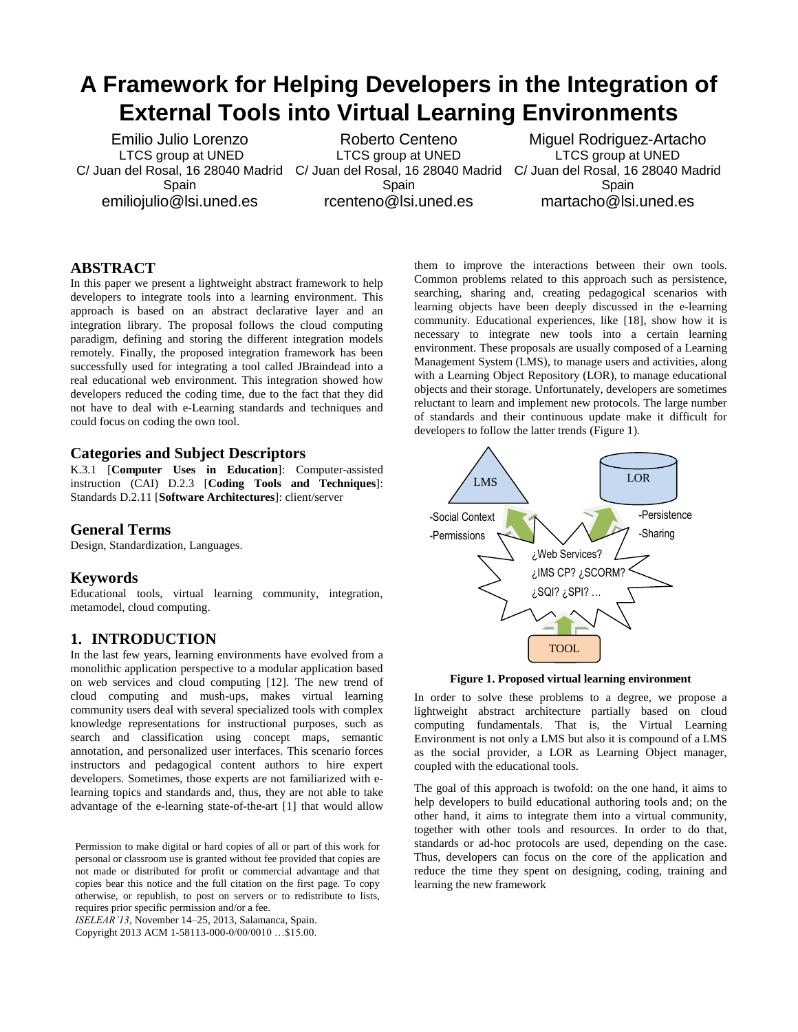# **A Framework for Helping Developers in the Integration of External Tools into Virtual Learning Environments**

Emilio Julio Lorenzo LTCS group at UNED **Spain** emiliojulio@lsi.uned.es

C/ Juan del Rosal, 16 28040 Madrid C/ Juan del Rosal, 16 28040 Madrid C/ Juan del Rosal, 16 28040 Madrid Roberto Centeno LTCS group at UNED **Spain** rcenteno@lsi.uned.es

Miguel Rodriguez-Artacho LTCS group at UNED **Spain** martacho@lsi.uned.es

## **ABSTRACT**

In this paper we present a lightweight abstract framework to help developers to integrate tools into a learning environment. This approach is based on an abstract declarative layer and an integration library. The proposal follows the cloud computing paradigm, defining and storing the different integration models remotely. Finally, the proposed integration framework has been successfully used for integrating a tool called JBraindead into a real educational web environment. This integration showed how developers reduced the coding time, due to the fact that they did not have to deal with e-Learning standards and techniques and could focus on coding the own tool.

#### **Categories and Subject Descriptors**

K.3.1 [**Computer Uses in Education**]: Computer-assisted instruction (CAI) D.2.3 [**Coding Tools and Techniques**]: Standards D.2.11 [**Software Architectures**]: client/server

## **General Terms**

Design, Standardization, Languages.

## **Keywords**

Educational tools, virtual learning community, integration, metamodel, cloud computing.

## **1. INTRODUCTION**

In the last few years, learning environments have evolved from a monolithic application perspective to a modular application based on web services and cloud computing [12]. The new trend of cloud computing and mush-ups, makes virtual learning community users deal with several specialized tools with complex knowledge representations for instructional purposes, such as search and classification using concept maps, semantic annotation, and personalized user interfaces. This scenario forces instructors and pedagogical content authors to hire expert developers. Sometimes, those experts are not familiarized with elearning topics and standards and, thus, they are not able to take advantage of the e-learning state-of-the-art [1] that would allow

Permission to make digital or hard copies of all or part of this work for personal or classroom use is granted without fee provided that copies are not made or distributed for profit or commercial advantage and that copies bear this notice and the full citation on the first page. To copy otherwise, or republish, to post on servers or to redistribute to lists, requires prior specific permission and/or a fee.

*ISELEAR'13*, November 14–25, 2013, Salamanca, Spain.

Copyright 2013 ACM 1-58113-000-0/00/0010 …\$15.00.

them to improve the interactions between their own tools. Common problems related to this approach such as persistence, searching, sharing and, creating pedagogical scenarios with learning objects have been deeply discussed in the e-learning community. Educational experiences, like [\[18\],](#page-5-0) show how it is necessary to integrate new tools into a certain learning environment. These proposals are usually composed of a Learning Management System (LMS), to manage users and activities, along with a Learning Object Repository (LOR), to manage educational objects and their storage. Unfortunately, developers are sometimes reluctant to learn and implement new protocols. The large number of standards and their continuous update make it difficult for developers to follow the latter trends (Figure 1).



**Figure 1. Proposed virtual learning environment** 

In order to solve these problems to a degree, we propose a lightweight abstract architecture partially based on cloud computing fundamentals. That is, the Virtual Learning Environment is not only a LMS but also it is compound of a LMS as the social provider, a LOR as Learning Object manager, coupled with the educational tools.

The goal of this approach is twofold: on the one hand, it aims to help developers to build educational authoring tools and; on the other hand, it aims to integrate them into a virtual community, together with other tools and resources. In order to do that, standards or ad-hoc protocols are used, depending on the case. Thus, developers can focus on the core of the application and reduce the time they spent on designing, coding, training and learning the new framework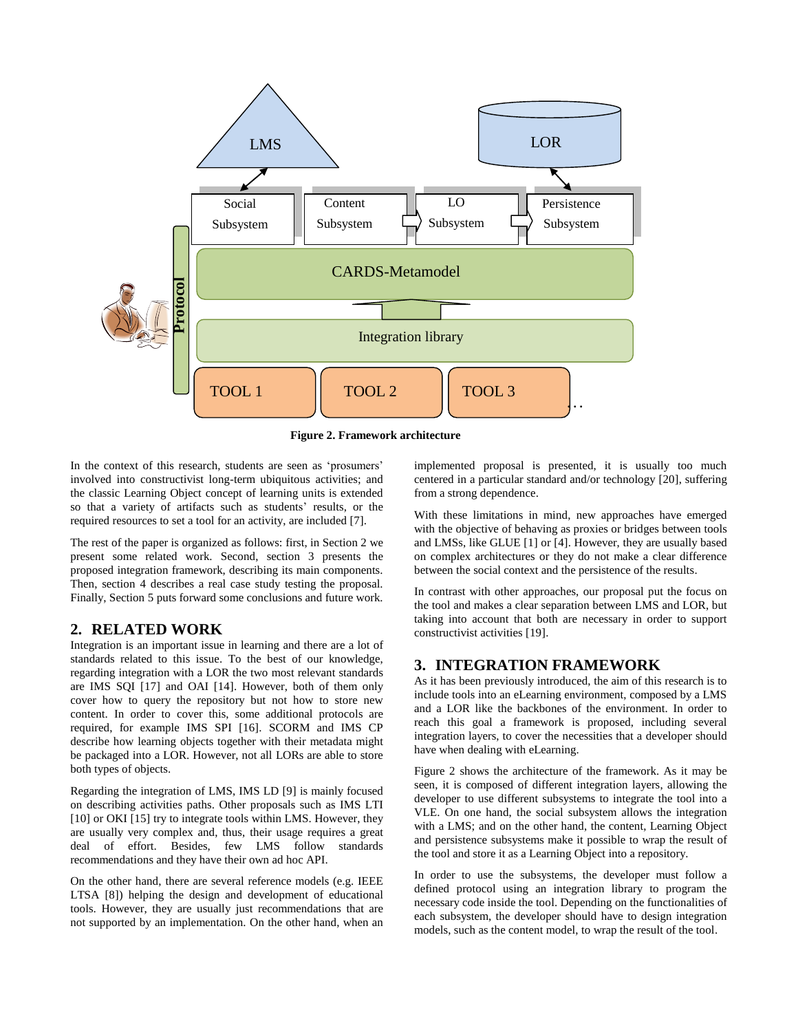

**Figure 2. Framework architecture**

In the context of this research, students are seen as 'prosumers' involved into constructivist long-term ubiquitous activities; and the classic Learning Object concept of learning units is extended so that a variety of artifacts such as students' results, or the required resources to set a tool for an activity, are included [\[7\].](#page-4-0) 

The rest of the paper is organized as follows: first, in Section 2 we present some related work. Second, section 3 presents the proposed integration framework, describing its main components. Then, section 4 describes a real case study testing the proposal. Finally, Section 5 puts forward some conclusions and future work.

#### **2. RELATED WORK**

Integration is an important issue in learning and there are a lot of standards related to this issue. To the best of our knowledge, regarding integration with a LOR the two most relevant standards are IMS SQI [\[17\]](#page-5-1) and OAI [\[14\].](#page-4-1) However, both of them only cover how to query the repository but not how to store new content. In order to cover this, some additional protocols are required, for example IMS SPI [\[16\].](#page-4-2) SCORM and IMS CP describe how learning objects together with their metadata might be packaged into a LOR. However, not all LORs are able to store both types of objects.

Regarding the integration of LMS, IMS LD [\[9\]](#page-4-3) is mainly focused on describing activities paths. Other proposals such as IMS LTI [\[10\]](#page-4-4) or OKI [\[15\]](#page-4-5) try to integrate tools within LMS. However, they are usually very complex and, thus, their usage requires a great deal of effort. Besides, few LMS follow standards recommendations and they have their own ad hoc API.

On the other hand, there are several reference models (e.g. IEEE LTSA [\[8\]\)](#page-4-6) helping the design and development of educational tools. However, they are usually just recommendations that are not supported by an implementation. On the other hand, when an implemented proposal is presented, it is usually too much centered in a particular standard and/or technolog[y \[20\],](#page-5-2) suffering from a strong dependence.

With these limitations in mind, new approaches have emerged with the objective of behaving as proxies or bridges between tools and LMSs, like GLUE [\[1\]](#page-4-7) or [\[4\].](#page-4-8) However, they are usually based on complex architectures or they do not make a clear difference between the social context and the persistence of the results.

In contrast with other approaches, our proposal put the focus on the tool and makes a clear separation between LMS and LOR, but taking into account that both are necessary in order to support constructivist activitie[s \[19\].](#page-5-3)

## **3. INTEGRATION FRAMEWORK**

As it has been previously introduced, the aim of this research is to include tools into an eLearning environment, composed by a LMS and a LOR like the backbones of the environment. In order to reach this goal a framework is proposed, including several integration layers, to cover the necessities that a developer should have when dealing with eLearning.

Figure 2 shows the architecture of the framework. As it may be seen, it is composed of different integration layers, allowing the developer to use different subsystems to integrate the tool into a VLE. On one hand, the social subsystem allows the integration with a LMS; and on the other hand, the content, Learning Object and persistence subsystems make it possible to wrap the result of the tool and store it as a Learning Object into a repository.

In order to use the subsystems, the developer must follow a defined protocol using an integration library to program the necessary code inside the tool. Depending on the functionalities of each subsystem, the developer should have to design integration models, such as the content model, to wrap the result of the tool.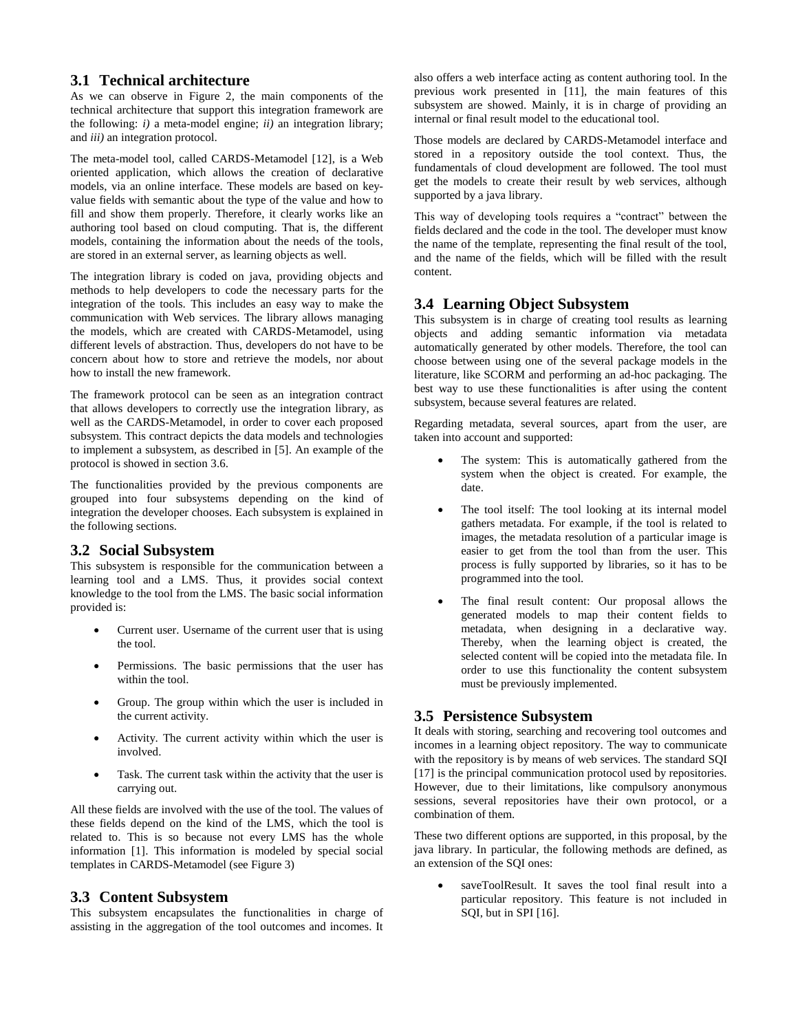#### **3.1 Technical architecture**

As we can observe in Figure 2, the main components of the technical architecture that support this integration framework are the following: *i)* a meta-model engine; *ii)* an integration library; and *iii)* an integration protocol.

The meta-model tool, called CARDS-Metamodel [\[12\],](#page-4-9) is a Web oriented application, which allows the creation of declarative models, via an online interface. These models are based on keyvalue fields with semantic about the type of the value and how to fill and show them properly. Therefore, it clearly works like an authoring tool based on cloud computing. That is, the different models, containing the information about the needs of the tools, are stored in an external server, as learning objects as well.

The integration library is coded on java, providing objects and methods to help developers to code the necessary parts for the integration of the tools. This includes an easy way to make the communication with Web services. The library allows managing the models, which are created with CARDS-Metamodel, using different levels of abstraction. Thus, developers do not have to be concern about how to store and retrieve the models, nor about how to install the new framework.

The framework protocol can be seen as an integration contract that allows developers to correctly use the integration library, as well as the CARDS-Metamodel, in order to cover each proposed subsystem. This contract depicts the data models and technologies to implement a subsystem, as described in [\[5\].](#page-4-10) An example of the protocol is showed in sectio[n 3.6.](#page-3-0)

The functionalities provided by the previous components are grouped into four subsystems depending on the kind of integration the developer chooses. Each subsystem is explained in the following sections.

## **3.2 Social Subsystem**

This subsystem is responsible for the communication between a learning tool and a LMS. Thus, it provides social context knowledge to the tool from the LMS. The basic social information provided is:

- Current user. Username of the current user that is using the tool.
- Permissions. The basic permissions that the user has within the tool.
- Group. The group within which the user is included in the current activity.
- Activity. The current activity within which the user is involved.
- Task. The current task within the activity that the user is carrying out.

All these fields are involved with the use of the tool. The values of these fields depend on the kind of the LMS, which the tool is related to. This is so because not every LMS has the whole information [\[1\].](#page-4-7) This information is modeled by special social templates in CARDS-Metamodel (see Figure 3)

#### **3.3 Content Subsystem**

This subsystem encapsulates the functionalities in charge of assisting in the aggregation of the tool outcomes and incomes. It

also offers a web interface acting as content authoring tool. In the previous work presented in [11], the main features of this subsystem are showed. Mainly, it is in charge of providing an internal or final result model to the educational tool.

Those models are declared by CARDS-Metamodel interface and stored in a repository outside the tool context. Thus, the fundamentals of cloud development are followed. The tool must get the models to create their result by web services, although supported by a java library.

This way of developing tools requires a "contract" between the fields declared and the code in the tool. The developer must know the name of the template, representing the final result of the tool, and the name of the fields, which will be filled with the result content.

## **3.4 Learning Object Subsystem**

This subsystem is in charge of creating tool results as learning objects and adding semantic information via metadata automatically generated by other models. Therefore, the tool can choose between using one of the several package models in the literature, like SCORM and performing an ad-hoc packaging. The best way to use these functionalities is after using the content subsystem, because several features are related.

Regarding metadata, several sources, apart from the user, are taken into account and supported:

- The system: This is automatically gathered from the system when the object is created. For example, the date.
- The tool itself: The tool looking at its internal model gathers metadata. For example, if the tool is related to images, the metadata resolution of a particular image is easier to get from the tool than from the user. This process is fully supported by libraries, so it has to be programmed into the tool.
- The final result content: Our proposal allows the generated models to map their content fields to metadata, when designing in a declarative way. Thereby, when the learning object is created, the selected content will be copied into the metadata file. In order to use this functionality the content subsystem must be previously implemented.

## **3.5 Persistence Subsystem**

It deals with storing, searching and recovering tool outcomes and incomes in a learning object repository. The way to communicate with the repository is by means of web services. The standard SQI [17] is the principal communication protocol used by repositories. However, due to their limitations, like compulsory anonymous sessions, several repositories have their own protocol, or a combination of them.

These two different options are supported, in this proposal, by the java library. In particular, the following methods are defined, as an extension of the SQI ones:

 saveToolResult. It saves the tool final result into a particular repository. This feature is not included in SQI, but in SPI [16].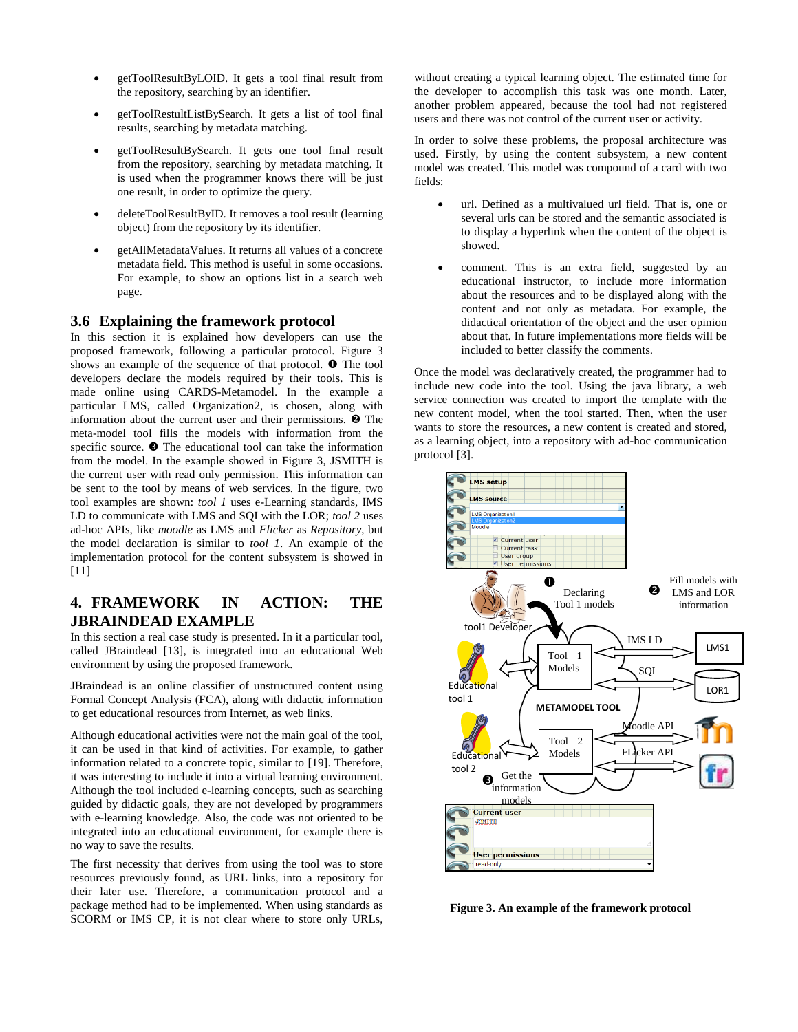- getToolResultByLOID. It gets a tool final result from the repository, searching by an identifier.
- getToolRestultListBySearch. It gets a list of tool final results, searching by metadata matching.
- getToolResultBySearch. It gets one tool final result from the repository, searching by metadata matching. It is used when the programmer knows there will be just one result, in order to optimize the query.
- deleteToolResultByID. It removes a tool result (learning object) from the repository by its identifier.
- getAllMetadataValues. It returns all values of a concrete metadata field. This method is useful in some occasions. For example, to show an options list in a search web page.

# <span id="page-3-0"></span>**3.6 Explaining the framework protocol**

In this section it is explained how developers can use the proposed framework, following a particular protocol. Figure 3 shows an example of the sequence of that protocol.  $\bullet$  The tool developers declare the models required by their tools. This is made online using CARDS-Metamodel. In the example a particular LMS, called Organization2, is chosen, along with information about the current user and their permissions.  $\bullet$  The meta-model tool fills the models with information from the specific source.  $\bullet$  The educational tool can take the information from the model. In the example showed in Figure 3, JSMITH is the current user with read only permission. This information can be sent to the tool by means of web services. In the figure, two tool examples are shown: *tool 1* uses e-Learning standards, IMS LD to communicate with LMS and SQI with the LOR; *tool 2* uses ad-hoc APIs, like *moodle* as LMS and *Flicker* as *Repository*, but the model declaration is similar to *tool 1*. An example of the implementation protocol for the content subsystem is showed in [\[11\]](#page-4-11)

# **4. FRAMEWORK IN ACTION: THE JBRAINDEAD EXAMPLE**

In this section a real case study is presented. In it a particular tool, called JBraindead [13], is integrated into an educational Web environment by using the proposed framework.

JBraindead is an online classifier of unstructured content using Formal Concept Analysis (FCA), along with didactic information to get educational resources from Internet, as web links.

Although educational activities were not the main goal of the tool, it can be used in that kind of activities. For example, to gather information related to a concrete topic, similar to [\[19\].](#page-5-3) Therefore, it was interesting to include it into a virtual learning environment. Although the tool included e-learning concepts, such as searching guided by didactic goals, they are not developed by programmers with e-learning knowledge. Also, the code was not oriented to be integrated into an educational environment, for example there is no way to save the results.

The first necessity that derives from using the tool was to store resources previously found, as URL links, into a repository for their later use. Therefore, a communication protocol and a package method had to be implemented. When using standards as SCORM or IMS CP, it is not clear where to store only URLs,

without creating a typical learning object. The estimated time for the developer to accomplish this task was one month. Later, another problem appeared, because the tool had not registered users and there was not control of the current user or activity.

In order to solve these problems, the proposal architecture was used. Firstly, by using the content subsystem, a new content model was created. This model was compound of a card with two fields:

- url. Defined as a multivalued url field. That is, one or several urls can be stored and the semantic associated is to display a hyperlink when the content of the object is showed.
- comment. This is an extra field, suggested by an educational instructor, to include more information about the resources and to be displayed along with the content and not only as metadata. For example, the didactical orientation of the object and the user opinion about that. In future implementations more fields will be included to better classify the comments.

Once the model was declaratively created, the programmer had to include new code into the tool. Using the java library, a web service connection was created to import the template with the new content model, when the tool started. Then, when the user wants to store the resources, a new content is created and stored, as a learning object, into a repository with ad-hoc communication protocol [3].



**Figure 3. An example of the framework protocol**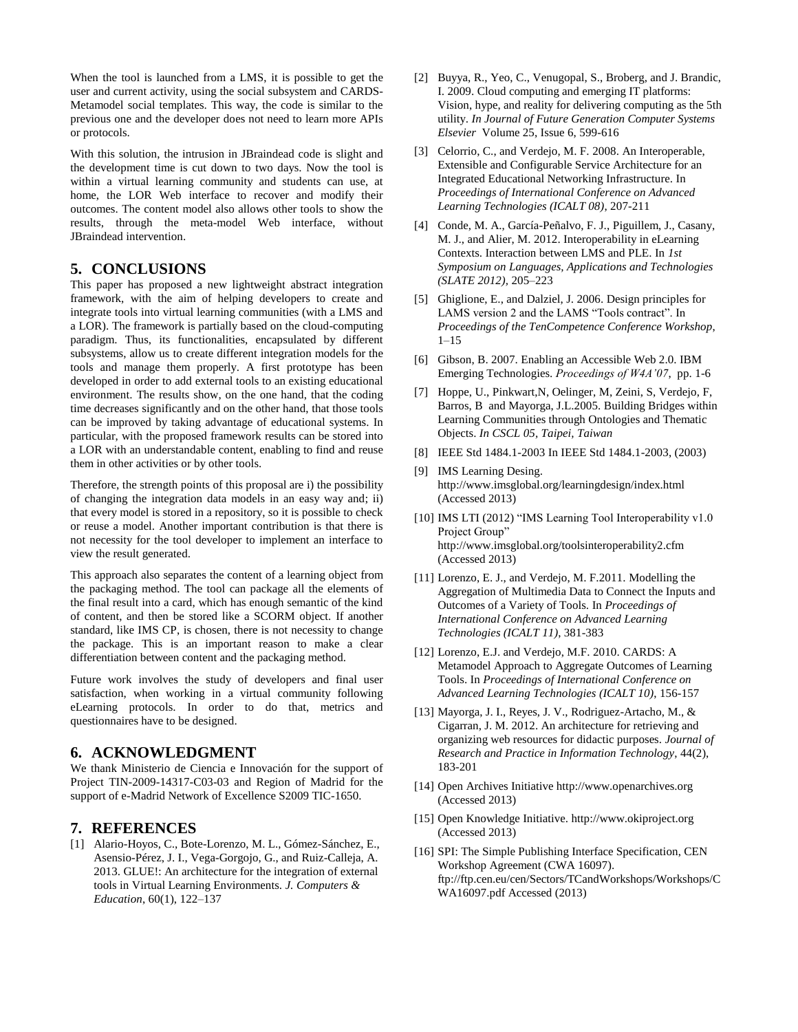When the tool is launched from a LMS, it is possible to get the user and current activity, using the social subsystem and CARDS-Metamodel social templates. This way, the code is similar to the previous one and the developer does not need to learn more APIs or protocols.

With this solution, the intrusion in JBraindead code is slight and the development time is cut down to two days. Now the tool is within a virtual learning community and students can use, at home, the LOR Web interface to recover and modify their outcomes. The content model also allows other tools to show the results, through the meta-model Web interface, without JBraindead intervention.

#### **5. CONCLUSIONS**

This paper has proposed a new lightweight abstract integration framework, with the aim of helping developers to create and integrate tools into virtual learning communities (with a LMS and a LOR). The framework is partially based on the cloud-computing paradigm. Thus, its functionalities, encapsulated by different subsystems, allow us to create different integration models for the tools and manage them properly. A first prototype has been developed in order to add external tools to an existing educational environment. The results show, on the one hand, that the coding time decreases significantly and on the other hand, that those tools can be improved by taking advantage of educational systems. In particular, with the proposed framework results can be stored into a LOR with an understandable content, enabling to find and reuse them in other activities or by other tools.

Therefore, the strength points of this proposal are i) the possibility of changing the integration data models in an easy way and; ii) that every model is stored in a repository, so it is possible to check or reuse a model. Another important contribution is that there is not necessity for the tool developer to implement an interface to view the result generated.

This approach also separates the content of a learning object from the packaging method. The tool can package all the elements of the final result into a card, which has enough semantic of the kind of content, and then be stored like a SCORM object. If another standard, like IMS CP, is chosen, there is not necessity to change the package. This is an important reason to make a clear differentiation between content and the packaging method.

Future work involves the study of developers and final user satisfaction, when working in a virtual community following eLearning protocols. In order to do that, metrics and questionnaires have to be designed.

#### **6. ACKNOWLEDGMENT**

We thank Ministerio de Ciencia e Innovación for the support of Project TIN-2009-14317-C03-03 and Region of Madrid for the support of e-Madrid Network of Excellence S2009 TIC-1650.

## **7. REFERENCES**

<span id="page-4-7"></span>[1] Alario-Hoyos, C., Bote-Lorenzo, M. L., Gómez-Sánchez, E., Asensio-Pérez, J. I., Vega-Gorgojo, G., and Ruiz-Calleja, A. 2013. GLUE!: An architecture for the integration of external tools in Virtual Learning Environments. *J. Computers & Education*, 60(1), 122–137

- [2] Buyya, R., Yeo, C., Venugopal, S., Broberg, and J. Brandic, I. 2009. Cloud computing and emerging IT platforms: Vision, hype, and reality for delivering computing as the 5th utility. *In Journal of Future Generation Computer Systems Elsevier* Volume 25, Issue 6, 599-616
- [3] Celorrio, C., and Verdejo, M. F. 2008. An Interoperable, Extensible and Configurable Service Architecture for an Integrated Educational Networking Infrastructure. In *Proceedings of International Conference on Advanced Learning Technologies (ICALT 08)*, 207-211
- <span id="page-4-8"></span>[4] Conde, M. A., García-Peñalvo, F. J., Piguillem, J., Casany, M. J., and Alier, M. 2012. Interoperability in eLearning Contexts. Interaction between LMS and PLE. In *1st Symposium on Languages, Applications and Technologies (SLATE 2012),* 205–223
- <span id="page-4-10"></span>[5] Ghiglione, E., and Dalziel, J. 2006. Design principles for LAMS version 2 and the LAMS "Tools contract". In *Proceedings of the TenCompetence Conference Workshop*, 1–15
- [6] Gibson, B. 2007. Enabling an Accessible Web 2.0. IBM Emerging Technologies. *Proceedings of W4A'07*, pp. 1-6
- <span id="page-4-0"></span>[7] Hoppe, U., Pinkwart,N, Oelinger, M, Zeini, S, Verdejo, F, Barros, B and Mayorga, J.L.2005. Building Bridges within Learning Communities through Ontologies and Thematic Objects. *In CSCL 05, Taipei, Taiwan*
- <span id="page-4-6"></span>[8] IEEE Std 1484.1-2003 In IEEE Std 1484.1-2003, (2003)
- <span id="page-4-3"></span>[9] IMS Learning Desing. http://www.imsglobal.org/learningdesign/index.html (Accessed 2013)
- <span id="page-4-4"></span>[10] IMS LTI (2012) "IMS Learning Tool Interoperability v1.0 Project Group" http://www.imsglobal.org/toolsinteroperability2.cfm (Accessed 2013)
- <span id="page-4-11"></span>[11] Lorenzo, E. J., and Verdejo, M. F.2011. Modelling the Aggregation of Multimedia Data to Connect the Inputs and Outcomes of a Variety of Tools. In *Proceedings of International Conference on Advanced Learning Technologies (ICALT 11)*, 381-383
- <span id="page-4-9"></span>[12] Lorenzo, E.J. and Verdejo, M.F. 2010. CARDS: A Metamodel Approach to Aggregate Outcomes of Learning Tools. In *Proceedings of International Conference on Advanced Learning Technologies (ICALT 10)*, 156-157
- [13] Mayorga, J. I., Reyes, J. V., Rodriguez-Artacho, M., & Cigarran, J. M. 2012. An architecture for retrieving and organizing web resources for didactic purposes. *Journal of Research and Practice in Information Technology*, 44(2), 183-201
- <span id="page-4-1"></span>[14] Open Archives Initiative http://www.openarchives.org (Accessed 2013)
- <span id="page-4-5"></span>[15] Open Knowledge Initiative. http://www.okiproject.org (Accessed 2013)
- <span id="page-4-2"></span>[16] SPI: The Simple Publishing Interface Specification, CEN Workshop Agreement (CWA 16097). ftp://ftp.cen.eu/cen/Sectors/TCandWorkshops/Workshops/C WA16097.pdf Accessed (2013)